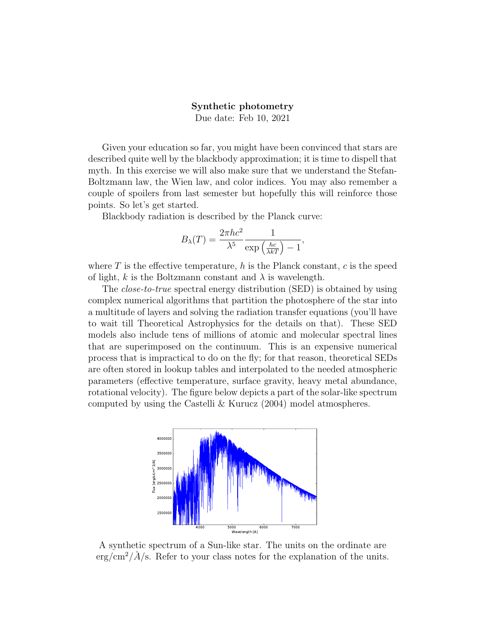## Synthetic photometry

Due date: Feb 10, 2021

Given your education so far, you might have been convinced that stars are described quite well by the blackbody approximation; it is time to dispell that myth. In this exercise we will also make sure that we understand the Stefan-Boltzmann law, the Wien law, and color indices. You may also remember a couple of spoilers from last semester but hopefully this will reinforce those points. So let's get started.

Blackbody radiation is described by the Planck curve:

$$
B_{\lambda}(T) = \frac{2\pi hc^2}{\lambda^5} \frac{1}{\exp\left(\frac{hc}{\lambda kT}\right) - 1},
$$

where  $T$  is the effective temperature, h is the Planck constant, c is the speed of light, k is the Boltzmann constant and  $\lambda$  is wavelength.

The *close-to-true* spectral energy distribution (SED) is obtained by using complex numerical algorithms that partition the photosphere of the star into a multitude of layers and solving the radiation transfer equations (you'll have to wait till Theoretical Astrophysics for the details on that). These SED models also include tens of millions of atomic and molecular spectral lines that are superimposed on the continuum. This is an expensive numerical process that is impractical to do on the fly; for that reason, theoretical SEDs are often stored in lookup tables and interpolated to the needed atmospheric parameters (effective temperature, surface gravity, heavy metal abundance, rotational velocity). The figure below depicts a part of the solar-like spectrum computed by using the Castelli & Kurucz (2004) model atmospheres.



A synthetic spectrum of a Sun-like star. The units on the ordinate are  $\text{erg/cm}^2/\AA$ /s. Refer to your class notes for the explanation of the units.